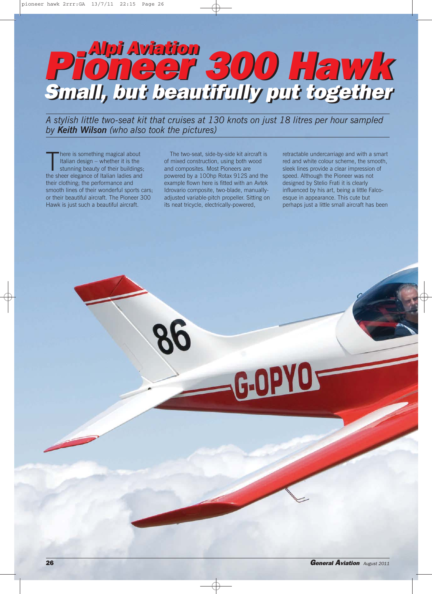# Alpi Aviation Pioneer 300 Hawk Alpi Aviation Pioneer 300 Hawk Small, but beautifully put together Small, but beautifully put together

*A stylish little two-seat kit that cruises at 130 knots on just 18 litres per hour sampled by Keith Wilson (who also took the pictures)*

There is something magical about<br>Italian design – whether it is the<br>stunning beauty of their buildings<br>the sheer elegance of Italian ladies and here is something magical about Italian design – whether it is the stunning beauty of their buildings; their clothing; the performance and smooth lines of their wonderful sports cars: or their beautiful aircraft. The Pioneer 300 Hawk is just such a beautiful aircraft.

The two-seat, side-by-side kit aircraft is of mixed construction, using both wood and composites. Most Pioneers are powered by a 100hp Rotax 912S and the example flown here is fitted with an Avtek Idrovario composite, two-blade, manuallyadjusted variable-pitch propeller. Sitting on its neat tricycle, electrically-powered,

-G-OPY

retractable undercarriage and with a smart red and white colour scheme, the smooth, sleek lines provide a clear impression of speed. Although the Pioneer was not designed by Stelio Frati it is clearly influenced by his art, being a little Falcoesque in appearance. This cute but perhaps just a little small aircraft has been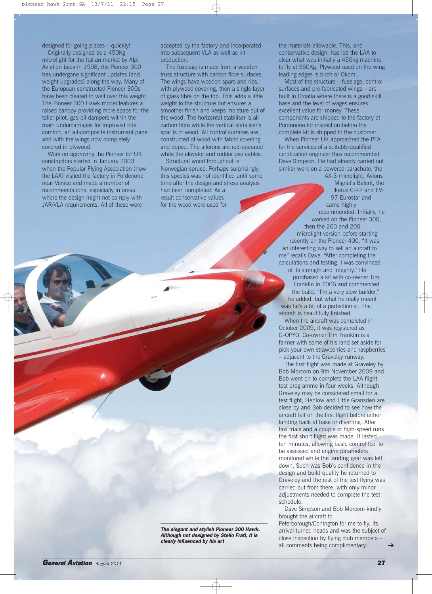designed for going places – quickly!

Originally designed as a 450Kg microlight for the Italian market by Alpi Aviation back in 1998, the Pioneer 300 has undergone significant updates (and weight upgrades) along the way. Many of the European constructed Pioneer 300s have been cleared to well over this weight. The Pioneer 300 Hawk model features a raised canopy providing more space for the taller pilot, gas-oil dampers within the main undercarriages for improved ride comfort, an all-composite instrument panel and with the wings now completely covered in plywood.

Work on approving the Pioneer for UK constructors started in January 2003 when the Popular Flying Association (now the LAA) visited the factory in Pordenone, near Venice and made a number of recommendations, especially in areas where the design might not comply with JAR/VLA requirements. All of these were

accepted by the factory and incorporated into subsequent VLA as well as kit production.

The fuselage is made from a wooden truss structure with carbon fibre surfaces. The wings have wooden spars and ribs, with plywood covering, then a single layer of glass fibre on the top. This adds a little weight to the structure but ensures a smoother finish and keeps moisture out of the wood. The horizontal stabiliser is all carbon fibre while the vertical stabiliser's spar is of wood. All control surfaces are constructed of wood with fabric covering and doped. The ailerons are rod-operated while the elevator and rudder use cables.

Structural wood throughout is Norwegian spruce. Perhaps surprisingly, this species was not identified until some time after the design and stress analysis had been completed. As a result conservative values for the wood were used for

the materials allowable. This, and conservative design, has led the LAA to clear what was initially a 450kg machine to fly at 560Kg. Plywood used on the wing leading edges is birch or Okomi.

Most of the structure – fuselage, control surfaces and pre-fabricated wings – are built in Croatia where there is a good skill base and the level of wages ensures excellent value for money. These components are shipped to the factory at Pordenone for inspection before the complete kit is shipped to the customer.

When Pioneer UK approached the PFA for the services of a suitably-qualified certification engineer they recommended Dave Simpson. He had already carried out similar work on a powered parachute, the

AX-3 microlight, Avions Mignet's Balerit, the Ikarus C-42 and EV-97 Eurostar and came highly recommended. Initially, he worked on the Pioneer 300, then the 200 and 200 microlight version before starting recently on the Pioneer 400. "It was an interesting way to sell an aircraft to me" recalls Dave. "After completing the calculations and testing, I was convinced of its strength and integrity." He

purchased a kit with co-owner Tim Franklin in 2006 and commenced the build. "I'm a very slow builder," he added, but what he really meant was he's a bit of a perfectionist. The aircraft is beautifully finished.

When the aircraft was completed in October 2009, it was registered as G-OPYO. Co-owner Tim Franklin is a farmer with some of his land set aside for pick-your-own strawberries and raspberries adjacent to the Graveley runway.

The first flight was made at Graveley by Bob Morcom on 9th November 2009 and Bob went on to complete the LAA flight test programme in four weeks. Although Graveley may be considered small for a test flight, Henlow and Little Gransden are close by and Bob decided to see how the aircraft felt on the first flight before either landing back at base or diverting. After taxi trials and a couple of high-speed runs the first short flight was made. It lasted ten minutes, allowing basic control feel to be assessed and engine parameters monitored while the landing gear was left down. Such was Bob's confidence in the design and build quality he returned to Graveley and the rest of the test flying was carried out from there, with only minor adjustments needed to complete the test schedule.

Dave Simpson and Bob Morcom kindly brought the aircraft to

Peterborough/Conington for me to fly. Its arrival turned heads and was the subject of close inspection by flying club members –  $\frac{1}{2}$  clearly influenced by his art  $\frac{1}{2}$  all comments being complimentary.  $\rightarrow$ 

The elegant and stylish Pioneer 300 Hawk. Although not designed by Stelio Frati, it is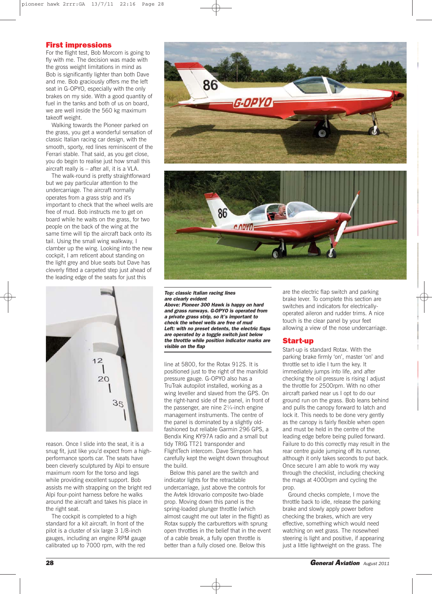## First impressions

For the flight test, Bob Morcom is going to fly with me. The decision was made with the gross weight limitations in mind as Bob is significantly lighter than both Dave and me. Bob graciously offers me the left seat in G-OPYO, especially with the only brakes on my side. With a good quantity of fuel in the tanks and both of us on board, we are well inside the 560 kg maximum takeoff weight.

Walking towards the Pioneer parked on the grass, you get a wonderful sensation of classic Italian racing car design, with the smooth, sporty, red lines reminiscent of the Ferrari stable. That said, as you get close, you do begin to realise just how small this aircraft really is – after all, it is a VLA.

The walk-round is pretty straightforward but we pay particular attention to the undercarriage. The aircraft normally operates from a grass strip and it's important to check that the wheel wells are free of mud. Bob instructs me to get on board while he waits on the grass, for two people on the back of the wing at the same time will tip the aircraft back onto its tail. Using the small wing walkway, I clamber up the wing. Looking into the new cockpit, I am reticent about standing on the light grey and blue seats but Dave has cleverly fitted a carpeted step just ahead of the leading edge of the seats for just this



reason. Once I slide into the seat, it is a snug fit, just like you'd expect from a highperformance sports car. The seats have been cleverly sculptured by Alpi to ensure maximum room for the torso and legs while providing excellent support. Bob assists me with strapping on the bright red Alpi four-point harness before he walks around the aircraft and takes his place in the right seat.

The cockpit is completed to a high standard for a kit aircraft. In front of the pilot is a cluster of six large 3 1/8-inch gauges, including an engine RPM gauge calibrated up to 7000 rpm, with the red





#### Top: classic Italian racing lines are clearly evident

Above: Pioneer 300 Hawk is happy on hard and grass runways. G-OPYO is operated from a private grass strip, so it's important to check the wheel wells are free of mud Left: with no preset detents, the electric flaps are operated by a toggle switch just below the throttle while position indicator marks are visible on the flap

line at 5800, for the Rotax 912S. It is positioned just to the right of the manifold pressure gauge. G-OPYO also has a TruTrak autopilot installed, working as a wing leveller and slaved from the GPS. On the right-hand side of the panel, in front of the passenger, are nine  $2\frac{1}{4}$ -inch engine management instruments. The centre of the panel is dominated by a slightly oldfashioned but reliable Garmin 296 GPS, a Bendix King KY97A radio and a small but tidy TRIG TT21 transponder and FlightTech intercom. Dave Simpson has carefully kept the weight down throughout the build.

Below this panel are the switch and indicator lights for the retractable undercarriage, just above the controls for the Avtek Idrovario composite two-blade prop. Moving down this panel is the spring-loaded plunger throttle (which almost caught me out later in the flight) as Rotax supply the carburettors with sprung open throttles in the belief that in the event of a cable break, a fully open throttle is better than a fully closed one. Below this

are the electric flap switch and parking brake lever. To complete this section are switches and indicators for electricallyoperated aileron and rudder trims. A nice touch is the clear panel by your feet allowing a view of the nose undercarriage.

## Start-up

Start-up is standard Rotax. With the parking brake firmly 'on', master 'on' and throttle set to idle I turn the key. It immediately jumps into life, and after checking the oil pressure is rising I adjust the throttle for 2500rpm. With no other aircraft parked near us I opt to do our ground run on the grass. Bob leans behind and pulls the canopy forward to latch and lock it. This needs to be done very gently as the canopy is fairly flexible when open and must be held in the centre of the leading edge before being pulled forward. Failure to do this correctly may result in the rear centre guide jumping off its runner, although it only takes seconds to put back. Once secure I am able to work my way through the checklist, including checking the mags at 4000rpm and cycling the prop.

Ground checks complete, I move the throttle back to idle, release the parking brake and slowly apply power before checking the brakes, which are very effective, something which would need watching on wet grass. The nosewheel steering is light and positive, if appearing just a little lightweight on the grass. The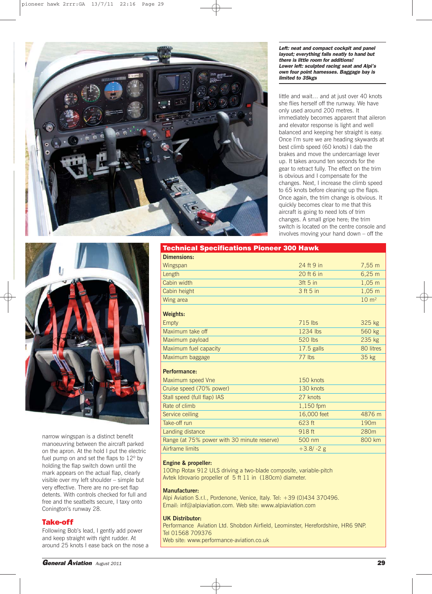

Left: neat and compact cockpit and panel layout; everything falls neatly to hand but there is little room for additions! Lower left: sculpted racing seat and Alpi's own four point harnesses. Baggage bay is limited to 35kgs

little and wait… and at just over 40 knots she flies herself off the runway. We have only used around 200 metres. It immediately becomes apparent that aileron and elevator response is light and well balanced and keeping her straight is easy. Once I'm sure we are heading skywards at best climb speed (60 knots) I dab the brakes and move the undercarriage lever up. It takes around ten seconds for the gear to retract fully. The effect on the trim is obvious and I compensate for the changes. Next, I increase the climb speed to 65 knots before cleaning up the flaps. Once again, the trim change is obvious. It quickly becomes clear to me that this aircraft is going to need lots of trim changes. A small gripe here; the trim switch is located on the centre console and involves moving your hand down – off the



narrow wingspan is a distinct benefit manoeuvring between the aircraft parked on the apron. At the hold I put the electric fuel pump on and set the flaps to 12º by holding the flap switch down until the mark appears on the actual flap, clearly visible over my left shoulder – simple but very effective. There are no pre-set flap detents. With controls checked for full and free and the seatbelts secure, I taxy onto Conington's runway 28.

## Take-off

Following Bob's lead, I gently add power and keep straight with right rudder. At around 25 knots I ease back on the nose a

| <b>Dimensions:</b>    |              |                  |
|-----------------------|--------------|------------------|
| Wingspan              | 24 ft 9 in   | 7.55 m           |
| Length                | 20 ft 6 in   | $6,25 \; m$      |
| Cabin width           | $3ft5$ in    | $1,05 \; m$      |
| Cabin height          | 3 ft 5 in    | $1,05 \; m$      |
| Wing area             |              | $10 \text{ m}^2$ |
| <b>Weights:</b>       |              |                  |
| Empty                 | $715$ lbs    | 325 kg           |
| Maximum take off      | 1234 lbs     | 560 kg           |
| Maximum payload       | 520 lbs      | 235 kg           |
| Maximum fuel capacity | $17.5$ galls | 80 litres        |
| Maximum baggage       | $77$ lbs     | 35 <sub>kg</sub> |
|                       |              |                  |

Technical Specifications Pioneer 300 Hawk

## **Performance:**

| Maximum speed Vne                           | 150 knots   |                  |
|---------------------------------------------|-------------|------------------|
| Cruise speed (70% power)                    | 130 knots   |                  |
| Stall speed (full flap) IAS                 | 27 knots    |                  |
| Rate of climb                               | 1,150 fpm   |                  |
| Service ceiling                             | 16,000 feet | 4876 m           |
| Take-off run                                | 623 ft      | 190 <sub>m</sub> |
| Landing distance                            | 918 ft      | 280 <sub>m</sub> |
| Range (at 75% power with 30 minute reserve) | 500 nm      | 800 km           |
| Airframe limits                             | $+3.8/-2$ g |                  |

#### **Engine & propeller:**

100hp Rotax 912 ULS driving a two-blade composite, variable-pitch Avtek Idrovario propeller of 5 ft 11 in (180cm) diameter.

### **Manufacturer:**

Alpi Aviation S.r.l., Pordenone, Venice, Italy. Tel: +39 (0)434 370496. Email: inf@alpiaviation.com. Web site: www.alpiaviation.com

## **UK Distributor:**

Performance Aviation Ltd. Shobdon Airfield, Leominster, Herefordshire, HR6 9NP. Tel 01568 709376 Web site: www.performance-aviation.co.uk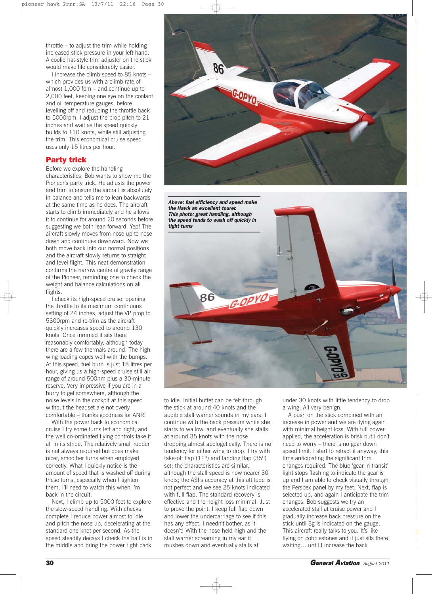throttle – to adjust the trim while holding increased stick pressure in your left hand. A coolie hat-style trim adjuster on the stick would make life considerably easier.

I increase the climb speed to 85 knots – which provides us with a climb rate of almost 1,000 fpm – and continue up to 2,000 feet, keeping one eye on the coolant and oil temperature gauges, before levelling off and reducing the throttle back to 5000rpm. I adjust the prop pitch to 21 inches and wait as the speed quickly builds to 110 knots, while still adjusting the trim. This economical cruise speed uses only 15 litres per hour.

## Party trick

Before we explore the handling characteristics, Bob wants to show me the Pioneer's party trick. He adjusts the power and trim to ensure the aircraft is absolutely in balance and tells me to lean backwards at the same time as he does. The aircraft starts to climb immediately and he allows it to continue for around 20 seconds before suggesting we both lean forward. Yep! The aircraft slowly moves from nose up to nose down and continues downward. Now we both move back into our normal positions and the aircraft slowly returns to straight and level flight. This neat demonstration confirms the narrow centre of gravity range of the Pioneer, reminding one to check the weight and balance calculations on all flights.

I check its high-speed cruise, opening the throttle to its maximum continuous setting of 24 inches, adjust the VP prop to 5300rpm and re-trim as the aircraft quickly increases speed to around 130 knots. Once trimmed it sits there reasonably comfortably, although today there are a few thermals around. The high wing loading copes well with the bumps. At this speed, fuel burn is just 18 litres per hour, giving us a high-speed cruise still air range of around 500nm plus a 30-minute reserve. Very impressive if you are in a hurry to get somewhere, although the noise levels in the cockpit at this speed without the headset are not overly comfortable – thanks goodness for ANR!

With the power back to economical cruise I try some turns left and right, and the well co-ordinated flying controls take it all in its stride. The relatively small rudder is not always required but does make nicer, smoother turns when employed correctly. What I quickly notice is the amount of speed that is washed off during these turns, especially when I tighten them. I'll need to watch this when I'm back in the circuit.

Next, I climb up to 5000 feet to explore the slow-speed handling. With checks complete I reduce power almost to idle and pitch the nose up, decelerating at the standard one knot per second. As the speed steadily decays I check the ball is in the middle and bring the power right back



Above: fuel efficiency and speed make the Hawk an excellent tourer. This photo: great handling, although the speed tends to wash off quickly in tight turns **G-OPYL** 86

to idle. Initial buffet can be felt through the stick at around 40 knots and the audible stall warner sounds in my ears. I continue with the back pressure while she starts to wallow, and eventually she stalls at around 35 knots with the nose dropping almost apologetically. There is no tendency for either wing to drop. I try with take-off flap (12º) and landing flap (35º) set; the characteristics are similar, although the stall speed is now nearer 30 knots; the ASI's accuracy at this attitude is not perfect and we see 25 knots indicated with full flap. The standard recovery is effective and the height loss minimal. Just to prove the point, I keep full flap down and lower the undercarriage to see if this has any effect. I needn't bother, as it doesn't! With the nose held high and the stall warner screaming in my ear it mushes down and eventually stalls at

under 30 knots with little tendency to drop a wing. All very benign.

A push on the stick combined with an increase in power and we are flying again with minimal height loss. With full power applied, the acceleration is brisk but I don't need to worry – there is no gear down speed limit. I start to retract it anyway, this time anticipating the significant trim changes required. The blue 'gear in transit' light stops flashing to indicate the gear is up and I am able to check visually through the Perspex panel by my feet. Next, flap is selected up, and again I anticipate the trim changes. Bob suggests we try an accelerated stall at cruise power and I gradually increase back pressure on the stick until 3g is indicated on the gauge. This aircraft really talks to you. It's like flying on cobblestones and it just sits there waiting… until I increase the back